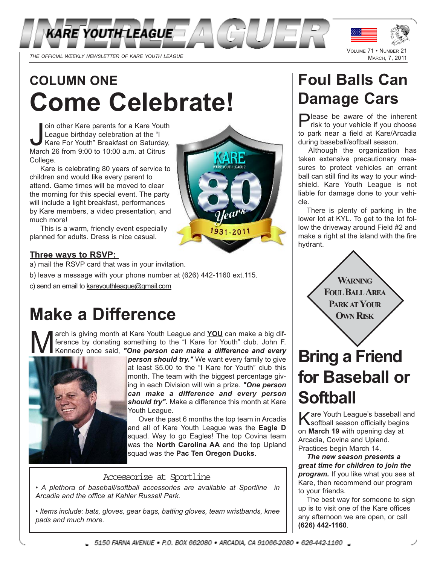

# **COLUMN ONE Come Celebrate!**

Join other Kare parents for a Kare Yout<br>League birthday celebration at the "I<br>Kare For Youth" Breakfast on Saturda<br>March 26 from 9:00 to 10:00 a.m. at Citrus oin other Kare parents for a Kare Youth League birthday celebration at the "I Kare For Youth" Breakfast on Saturday, College.

Kare is celebrating 80 years of service to children and would like every parent to attend. Game times will be moved to clear the morning for this special event. The party will include a light breakfast, performances by Kare members, a video presentation, and much more!

This is a warm, friendly event especially planned for adults. Dress is nice casual.

### **Three ways to RSVP:**

- a) mail the RSVP card that was in your invitation.
- b) leave a message with your phone number at (626) 442-1160 ext.115.
- c) send an email to kareyouthleague@gmail.com

## **Make a Difference**

Arch is giving month at Kare Youth League and **YOU** can make a big difference by donating something to the "I Kare for Youth" club. John F.<br>Kennedy once said, **"One person can make a difference and every** ference by donating something to the "I Kare for Youth" club. John F. Kennedy once said, *"One person can make a difference and every*



*person should try."* We want every family to give at least \$5.00 to the "I Kare for Youth" club this month. The team with the biggest percentage giving in each Division will win a prize. *"One person can make a difference and every person should try".* Make a difference this month at Kare Youth League.

Over the past 6 months the top team in Arcadia and all of Kare Youth League was the **Eagle D** squad. Way to go Eagles! The top Covina team was the **North Carolina AA** and the top Upland squad was the **Pac Ten Oregon Ducks**.

#### Accessorize at Sportline

*• A plethora of baseball/softball accessories are available at Sportline in Arcadia and the office at Kahler Russell Park.*

*• Items include: bats, gloves, gear bags, batting gloves, team wristbands, knee pads and much more.*

## **Foul Balls Can Damage Cars**

Please be aware of the inherent risk to your vehicle if you choose to park near a field at Kare/Arcadia during baseball/softball season.

Although the organization has taken extensive precautionary measures to protect vehicles an errant ball can still find its way to your windshield. Kare Youth League is not liable for damage done to your vehicle.

There is plenty of parking in the lower lot at KYL. To get to the lot follow the driveway around Field #2 and make a right at the island with the fire hydrant.

> **WARNING FOULBALLAREA PARKATYOUR OWN RISK**

## **Bring a Friend for Baseball or Softball**

Kare Youth League's baseball and softball season officially begins on **March 19** with opening day at Arcadia, Covina and Upland. Practices begin March 14.

*The new season presents a great time for children to join the program.* If you like what you see at Kare, then recommend our program to your friends.

The best way for someone to sign up is to visit one of the Kare offices any afternoon we are open, or call **(626) 442-1160**.